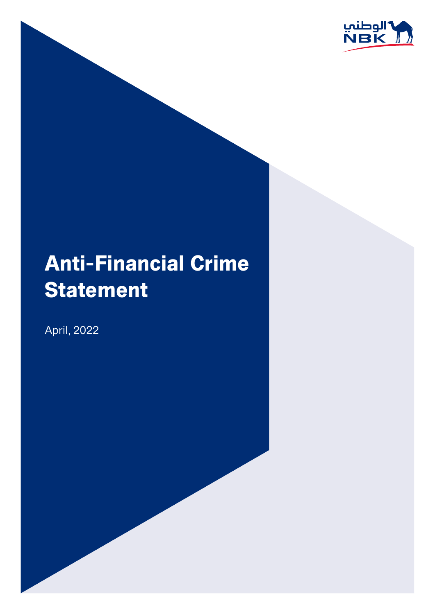

# **Anti-Financial Crime** Statement

April, 2022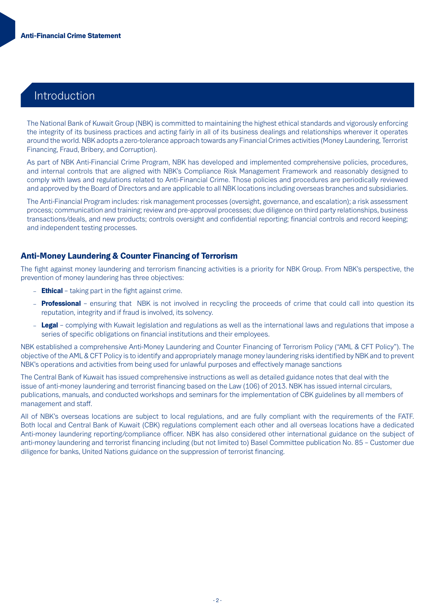## Introduction

The National Bank of Kuwait Group (NBK) is committed to maintaining the highest ethical standards and vigorously enforcing the integrity of its business practices and acting fairly in all of its business dealings and relationships wherever it operates around the world. NBK adopts a zero-tolerance approach towards any Financial Crimes activities (Money Laundering, Terrorist Financing, Fraud, Bribery, and Corruption).

As part of NBK Anti-Financial Crime Program, NBK has developed and implemented comprehensive policies, procedures, and internal controls that are aligned with NBK's Compliance Risk Management Framework and reasonably designed to comply with laws and regulations related to Anti-Financial Crime. Those policies and procedures are periodically reviewed and approved by the Board of Directors and are applicable to all NBK locations including overseas branches and subsidiaries.

The Anti-Financial Program includes: risk management processes (oversight, governance, and escalation); a risk assessment process; communication and training; review and pre-approval processes; due diligence on third party relationships, business transactions/deals, and new products; controls oversight and confidential reporting; financial controls and record keeping; and independent testing processes.

#### Anti-Money Laundering & Counter Financing of Terrorism

The fight against money laundering and terrorism financing activities is a priority for NBK Group. From NBK's perspective, the prevention of money laundering has three objectives:

- $-$  **Ethical** taking part in the fight against crime.
- **Professional** ensuring that NBK is not involved in recycling the proceeds of crime that could call into question its reputation, integrity and if fraud is involved, its solvency.
- Legal complying with Kuwait legislation and regulations as well as the international laws and regulations that impose a series of specific obligations on financial institutions and their employees.

NBK established a comprehensive Anti-Money Laundering and Counter Financing of Terrorism Policy ("AML & CFT Policy"). The objective of the AML & CFT Policy is to identify and appropriately manage money laundering risks identified by NBK and to prevent NBK's operations and activities from being used for unlawful purposes and effectively manage sanctions

The Central Bank of Kuwait has issued comprehensive instructions as well as detailed guidance notes that deal with the issue of anti-money laundering and terrorist financing based on the Law (106) of 2013. NBK has issued internal circulars, publications, manuals, and conducted workshops and seminars for the implementation of CBK guidelines by all members of management and staff.

All of NBK's overseas locations are subject to local regulations, and are fully compliant with the requirements of the FATF. Both local and Central Bank of Kuwait (CBK) regulations complement each other and all overseas locations have a dedicated Anti-money laundering reporting/compliance officer. NBK has also considered other international guidance on the subject of anti-money laundering and terrorist financing including (but not limited to) Basel Committee publication No. 85 - Customer due diligence for banks. United Nations guidance on the suppression of terrorist financing.